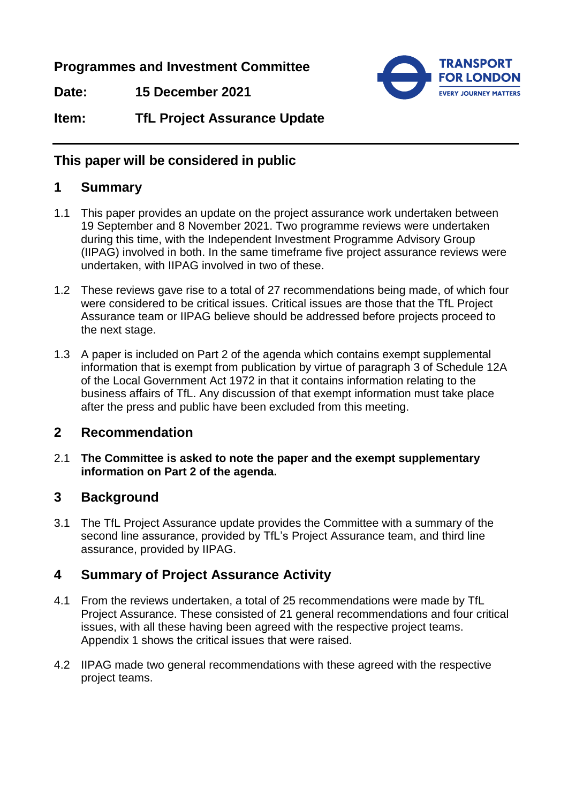**Programmes and Investment Committee**

**Date: 15 December 2021**



**Item: TfL Project Assurance Update**

# **This paper will be considered in public**

#### **1 Summary**

- 1.1 This paper provides an update on the project assurance work undertaken between 19 September and 8 November 2021. Two programme reviews were undertaken during this time, with the Independent Investment Programme Advisory Group (IIPAG) involved in both. In the same timeframe five project assurance reviews were undertaken, with IIPAG involved in two of these.
- 1.2 These reviews gave rise to a total of 27 recommendations being made, of which four were considered to be critical issues. Critical issues are those that the TfL Project Assurance team or IIPAG believe should be addressed before projects proceed to the next stage.
- 1.3 A paper is included on Part 2 of the agenda which contains exempt supplemental information that is exempt from publication by virtue of paragraph 3 of Schedule 12A of the Local Government Act 1972 in that it contains information relating to the business affairs of TfL. Any discussion of that exempt information must take place after the press and public have been excluded from this meeting.

## **2 Recommendation**

2.1 **The Committee is asked to note the paper and the exempt supplementary information on Part 2 of the agenda.**

## **3 Background**

3.1 The TfL Project Assurance update provides the Committee with a summary of the second line assurance, provided by TfL's Project Assurance team, and third line assurance, provided by IIPAG.

## **4 Summary of Project Assurance Activity**

- 4.1 From the reviews undertaken, a total of 25 recommendations were made by TfL Project Assurance. These consisted of 21 general recommendations and four critical issues, with all these having been agreed with the respective project teams. Appendix 1 shows the critical issues that were raised.
- 4.2 IIPAG made two general recommendations with these agreed with the respective project teams.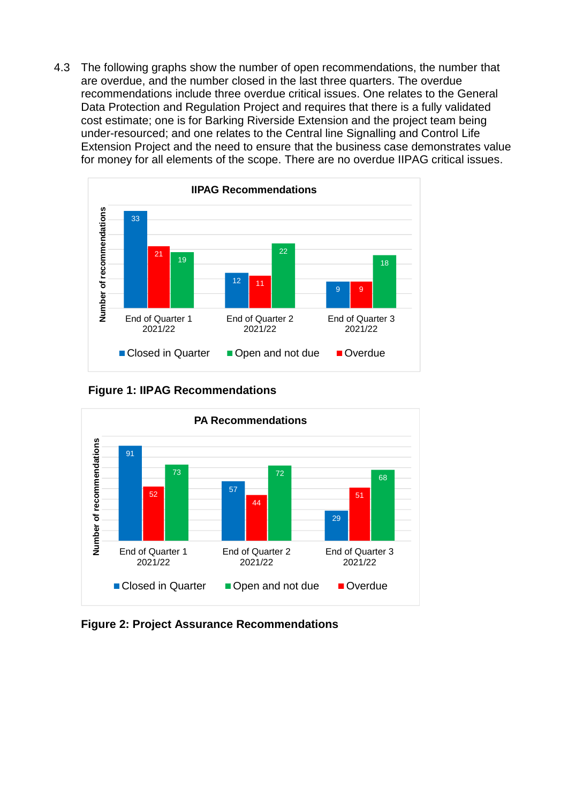4.3 The following graphs show the number of open recommendations, the number that are overdue, and the number closed in the last three quarters. The overdue recommendations include three overdue critical issues. One relates to the General Data Protection and Regulation Project and requires that there is a fully validated cost estimate; one is for Barking Riverside Extension and the project team being under-resourced; and one relates to the Central line Signalling and Control Life Extension Project and the need to ensure that the business case demonstrates value for money for all elements of the scope. There are no overdue IIPAG critical issues.



**Figure 1: IIPAG Recommendations**



**Figure 2: Project Assurance Recommendations**